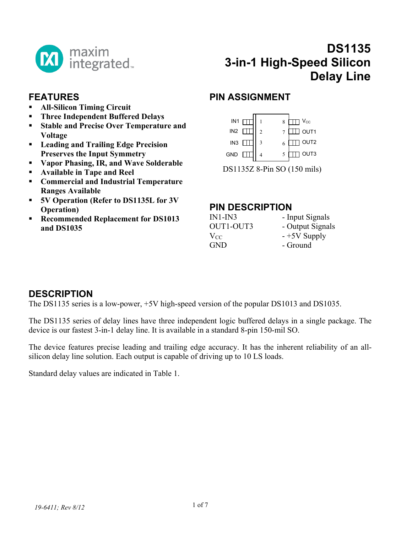

## **FEATURES**

- **All-Silicon Timing Circuit**
- **Three Independent Buffered Delays**
- **Stable and Precise Over Temperature and Voltage**
- **Leading and Trailing Edge Precision Preserves the Input Symmetry**
- **Vapor Phasing, IR, and Wave Solderable**
- **Available in Tape and Reel**
- **Commercial and Industrial Temperature Ranges Available**
- **5V Operation (Refer to DS1135L for 3V Operation)**
- **Recommended Replacement for DS1013 and DS1035**

# **DS1135 3-in-1 High-Speed Silicon Delay Line**

## **PIN ASSIGNMENT**



DS1135Z 8-Pin SO (150 mils)

#### **PIN DESCRIPTION**

| - Input Signals  |
|------------------|
| - Output Signals |
| $-+5V$ Supply    |
| - Ground         |
|                  |

## **DESCRIPTION**

The DS1135 series is a low-power, +5V high-speed version of the popular DS1013 and DS1035.

The DS1135 series of delay lines have three independent logic buffered delays in a single package. The device is our fastest 3-in-1 delay line. It is available in a standard 8-pin 150-mil SO.

The device features precise leading and trailing edge accuracy. It has the inherent reliability of an allsilicon delay line solution. Each output is capable of driving up to 10 LS loads.

Standard delay values are indicated in Table 1.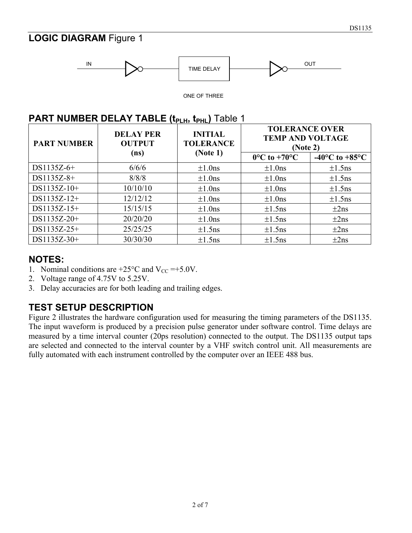## **LOGIC DIAGRAM** Figure 1



ONE OF THREE

#### **PART NUMBER DELAY TABLE (t<sub>PLH</sub>, t<sub>PHL</sub>) Table 1**

| <b>PART NUMBER</b> | <b>DELAY PER</b><br><b>OUTPUT</b> | <b>INITIAL</b><br><b>TOLERANCE</b> | <b>TOLERANCE OVER</b><br><b>TEMP AND VOLTAGE</b><br>(Note 2) |                                      |
|--------------------|-----------------------------------|------------------------------------|--------------------------------------------------------------|--------------------------------------|
|                    | (ns)                              | (Note 1)                           | $0^{\circ}$ C to +70 $^{\circ}$ C                            | -40 $^{\circ}$ C to +85 $^{\circ}$ C |
| $DS1135Z-6+$       | 6/6/6                             | $\pm 1.0$ ns                       | $\pm 1.0$ ns                                                 | $\pm 1.5$ ns                         |
| DS1135Z-8+         | 8/8/8                             | $\pm 1.0$ ns                       | $\pm 1.0$ ns                                                 | $\pm 1.5$ ns                         |
| DS1135Z-10+        | 10/10/10                          | $\pm 1.0$ ns                       | $\pm 1.0$ ns                                                 | $\pm 1.5$ ns                         |
| DS1135Z-12+        | 12/12/12                          | $\pm 1.0$ ns                       | $\pm 1.0$ ns                                                 | $\pm 1.5$ ns                         |
| DS1135Z-15+        | 15/15/15                          | $\pm 1.0$ ns                       | $\pm 1.5$ ns                                                 | $\pm 2$ ns                           |
| DS1135Z-20+        | 20/20/20                          | $\pm 1.0$ ns                       | $\pm 1.5$ ns                                                 | $\pm 2$ ns                           |
| DS1135Z-25+        | 25/25/25                          | $\pm 1.5$ ns                       | $\pm 1.5$ ns                                                 | $\pm 2$ ns                           |
| DS1135Z-30+        | 30/30/30                          | $\pm 1.5$ ns                       | $\pm 1.5$ ns                                                 | $\pm 2$ ns                           |

#### **NOTES:**

- 1. Nominal conditions are  $+25^{\circ}$ C and V<sub>CC</sub> = +5.0V.
- 2. Voltage range of 4.75V to 5.25V.
- 3. Delay accuracies are for both leading and trailing edges.

## **TEST SETUP DESCRIPTION**

Figure 2 illustrates the hardware configuration used for measuring the timing parameters of the DS1135. The input waveform is produced by a precision pulse generator under software control. Time delays are measured by a time interval counter (20ps resolution) connected to the output. The DS1135 output taps are selected and connected to the interval counter by a VHF switch control unit. All measurements are fully automated with each instrument controlled by the computer over an IEEE 488 bus.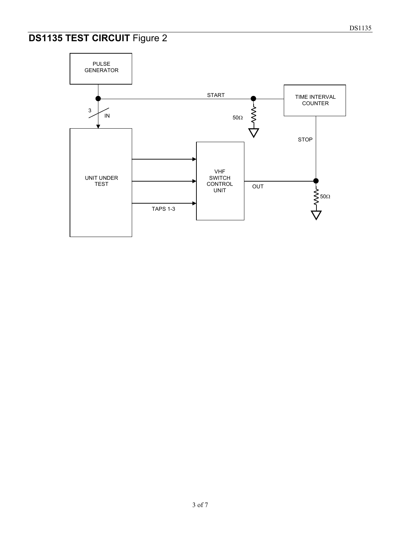## **DS1135 TEST CIRCUIT** Figure 2

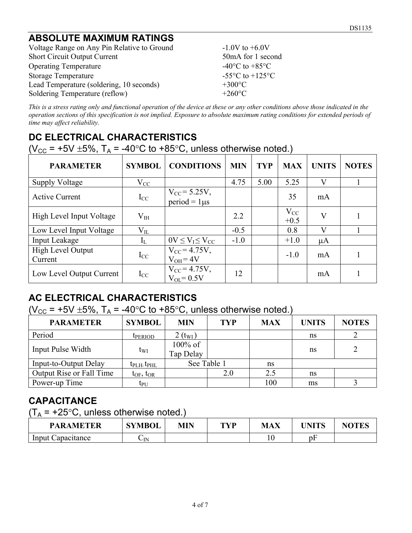## **ABSOLUTE MAXIMUM RATINGS**

Voltage Range on Any Pin Relative to Ground  $-1.0V$  to  $+6.0V$ Short Circuit Output Current 50mA for 1 second Operating Temperature  $-40^{\circ}$ C to  $+85^{\circ}$ C Storage Temperature  $-55^{\circ}$ C to  $+125^{\circ}$ C Lead Temperature (soldering, 10 seconds)  $+300^{\circ}$ C<br>Soldering Temperature (reflow)  $+260^{\circ}$ C Soldering Temperature (reflow)

*This is a stress rating only and functional operation of the device at these or any other conditions above those indicated in the operation sections of this specification is not implied. Exposure to absolute maximum rating conditions for extended periods of time may affect reliability.*

## **DC ELECTRICAL CHARACTERISTICS**

(V<sub>CC</sub> = +5V  $\pm$ 5%, T<sub>A</sub> = -40°C to +85°C, unless otherwise noted.)

| <b>PARAMETER</b>             | <b>SYMBOL</b> | <b>CONDITIONS</b>                           | <b>MIN</b> | <b>TYP</b> | <b>MAX</b>         | <b>UNITS</b>            | <b>NOTES</b> |
|------------------------------|---------------|---------------------------------------------|------------|------------|--------------------|-------------------------|--------------|
| <b>Supply Voltage</b>        | $V_{CC}$      |                                             | 4.75       | 5.00       | 5.25               | V                       |              |
| <b>Active Current</b>        | $I_{CC}$      | $V_{\rm CC} = 5.25V,$<br>$period = 1 \mu s$ |            |            | 35                 | mA                      |              |
| High Level Input Voltage     | $V_{IH}$      |                                             | 2.2        |            | $V_{CC}$<br>$+0.5$ | $\overline{\mathsf{V}}$ |              |
| Low Level Input Voltage      | $V_{IL}$      |                                             | $-0.5$     |            | 0.8                | V                       |              |
| Input Leakage                | $I_L$         | $0V \leq V_I \leq V_{CC}$                   | $-1.0$     |            | $+1.0$             | $\mu A$                 |              |
| High Level Output<br>Current | $I_{CC}$      | $V_{CC} = 4.75V,$<br>$V_{OH} = 4V$          |            |            | $-1.0$             | mA                      |              |
| Low Level Output Current     | $I_{CC}$      | $V_{CC} = 4.75V,$<br>$V_{OL} = 0.5V$        | 12         |            |                    | mA                      |              |

## **AC ELECTRICAL CHARACTERISTICS**

(V<sub>CC</sub> = +5V  $\pm$ 5%, T<sub>A</sub> = -40°C to +85°C, unless otherwise noted.)

| <b>PARAMETER</b>                | <b>SYMBOL</b>                 | <b>MIN</b>              | <b>TYP</b> | <b>MAX</b> | <b>UNITS</b> | <b>NOTES</b> |
|---------------------------------|-------------------------------|-------------------------|------------|------------|--------------|--------------|
| Period                          | <b>IPERIOD</b>                | $2(t_{\rm WI})$         |            |            | ns           |              |
| Input Pulse Width               | t <sub>WI</sub>               | $100\%$ of<br>Tap Delay |            |            | ns           | 2            |
| Input-to-Output Delay           | $t_{\rm PLH}$ , $t_{\rm PHL}$ | See Table 1             |            | ns         |              |              |
| <b>Output Rise or Fall Time</b> | $t_{OF}$ , $t_{OR}$           |                         | 2.0        | 2.5        | ns           |              |
| Power-up Time                   | tpu                           |                         |            | 100        | ms           |              |

## **CAPACITANCE**

 $(T_A = +25^{\circ}C$ , unless otherwise noted.)

| <b>PARAMETER</b>  | <b>SYMBOL</b>        | MIN | TVD | <b>MAX</b> | I <b>INITC</b> | <b>NOTES</b> |
|-------------------|----------------------|-----|-----|------------|----------------|--------------|
| Input Capacitance | $\mathsf{\cup_{IN}}$ |     |     |            | υF             |              |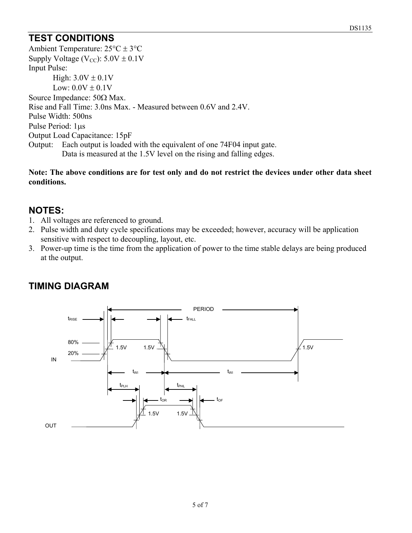## **TEST CONDITIONS**

Ambient Temperature: 25°C ± 3°C Supply Voltage (V<sub>CC</sub>):  $5.0V \pm 0.1V$ Input Pulse: High:  $3.0V \pm 0.1V$ Low:  $0.0V \pm 0.1V$ Source Impedance: 50Ω Max. Rise and Fall Time: 3.0ns Max. - Measured between 0.6V and 2.4V. Pulse Width: 500ns Pulse Period: 1µs Output Load Capacitance: 15pF Output: Each output is loaded with the equivalent of one 74F04 input gate. Data is measured at the 1.5V level on the rising and falling edges.

**Note: The above conditions are for test only and do not restrict the devices under other data sheet conditions.**

#### **NOTES:**

- 1. All voltages are referenced to ground.
- 2. Pulse width and duty cycle specifications may be exceeded; however, accuracy will be application sensitive with respect to decoupling, layout, etc.
- 3. Power-up time is the time from the application of power to the time stable delays are being produced at the output.



## **TIMING DIAGRAM**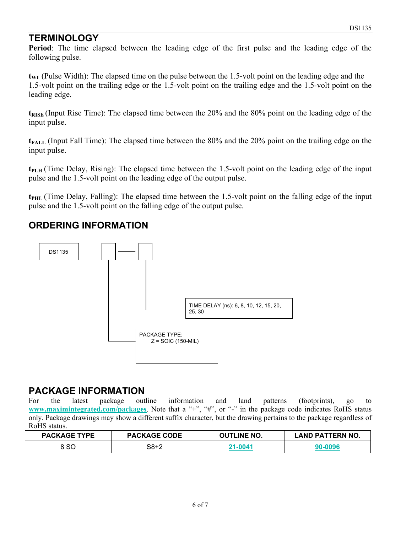## **TERMINOLOGY**

**Period**: The time elapsed between the leading edge of the first pulse and the leading edge of the following pulse.

**t<sub>WI</sub>** (Pulse Width): The elapsed time on the pulse between the 1.5-volt point on the leading edge and the 1.5-volt point on the trailing edge or the 1.5-volt point on the trailing edge and the 1.5-volt point on the leading edge.

**t<sub>RISE</sub>** (Input Rise Time): The elapsed time between the 20% and the 80% point on the leading edge of the input pulse.

**t**<sub>FALL</sub> (Input Fall Time): The elapsed time between the 80% and the 20% point on the trailing edge on the input pulse.

**t**<sub>PLH</sub> (Time Delay, Rising): The elapsed time between the 1.5-volt point on the leading edge of the input pulse and the 1.5-volt point on the leading edge of the output pulse.

**tPHL** (Time Delay, Falling): The elapsed time between the 1.5-volt point on the falling edge of the input pulse and the 1.5-volt point on the falling edge of the output pulse.

## **ORDERING INFORMATION**



# **PACKAGE INFORMATION**<br>For the latest package outline

For the latest package outline information and land patterns (footprints), go to **[www.maximintegrated.com/packages](http://www.maximintegrated.com/packages)**. Note that a "+", "#", or "-" in the package code indicates RoHS status only. Package drawings may show a different suffix character, but the drawing pertains to the package regardless of RoHS status.

| <b>PACKAGE TYPE</b> | <b>PACKAGE CODE</b> | <b>OUTLINE NO.</b> | <b>LAND PATTERN NO.</b> |
|---------------------|---------------------|--------------------|-------------------------|
| 3 SC                | 38+2                | 21-0041            |                         |